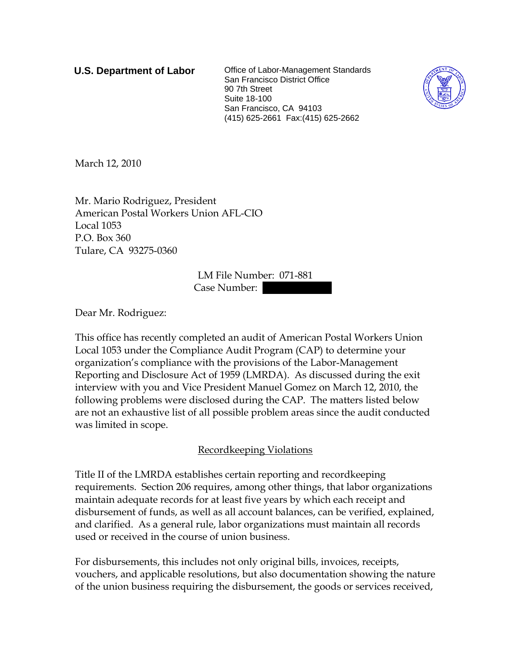**U.S. Department of Labor** Office of Labor-Management Standards San Francisco District Office 90 7th Street Suite 18-100 San Francisco, CA 94103 (415) 625-2661 Fax:(415) 625-2662



March 12, 2010

Mr. Mario Rodriguez, President American Postal Workers Union AFL-CIO Local 1053 P.O. Box 360 Tulare, CA 93275-0360

> LM File Number: 071-881 Case Number:

Dear Mr. Rodriguez:

This office has recently completed an audit of American Postal Workers Union Local 1053 under the Compliance Audit Program (CAP) to determine your organization's compliance with the provisions of the Labor-Management Reporting and Disclosure Act of 1959 (LMRDA). As discussed during the exit interview with you and Vice President Manuel Gomez on March 12, 2010, the following problems were disclosed during the CAP. The matters listed below are not an exhaustive list of all possible problem areas since the audit conducted was limited in scope.

## Recordkeeping Violations

Title II of the LMRDA establishes certain reporting and recordkeeping requirements. Section 206 requires, among other things, that labor organizations maintain adequate records for at least five years by which each receipt and disbursement of funds, as well as all account balances, can be verified, explained, and clarified. As a general rule, labor organizations must maintain all records used or received in the course of union business.

For disbursements, this includes not only original bills, invoices, receipts, vouchers, and applicable resolutions, but also documentation showing the nature of the union business requiring the disbursement, the goods or services received,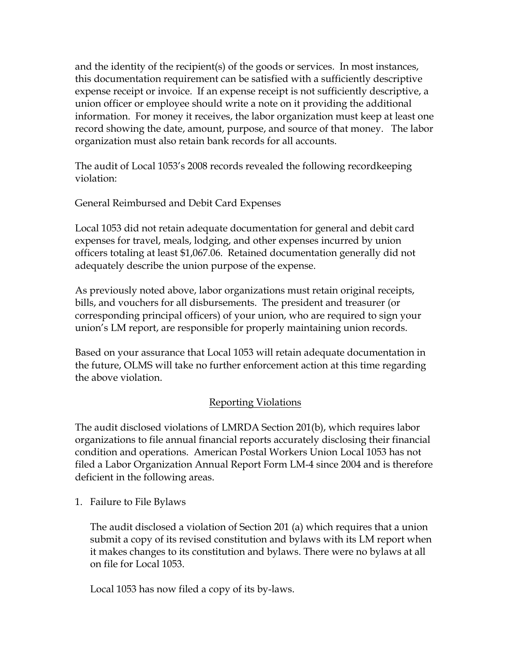and the identity of the recipient(s) of the goods or services. In most instances, this documentation requirement can be satisfied with a sufficiently descriptive expense receipt or invoice. If an expense receipt is not sufficiently descriptive, a union officer or employee should write a note on it providing the additional information. For money it receives, the labor organization must keep at least one record showing the date, amount, purpose, and source of that money. The labor organization must also retain bank records for all accounts.

The audit of Local 1053's 2008 records revealed the following recordkeeping violation:

General Reimbursed and Debit Card Expenses

Local 1053 did not retain adequate documentation for general and debit card expenses for travel, meals, lodging, and other expenses incurred by union officers totaling at least \$1,067.06. Retained documentation generally did not adequately describe the union purpose of the expense.

As previously noted above, labor organizations must retain original receipts, bills, and vouchers for all disbursements. The president and treasurer (or corresponding principal officers) of your union, who are required to sign your union's LM report, are responsible for properly maintaining union records.

Based on your assurance that Local 1053 will retain adequate documentation in the future, OLMS will take no further enforcement action at this time regarding the above violation.

## Reporting Violations

The audit disclosed violations of LMRDA Section 201(b), which requires labor organizations to file annual financial reports accurately disclosing their financial condition and operations. American Postal Workers Union Local 1053 has not filed a Labor Organization Annual Report Form LM-4 since 2004 and is therefore deficient in the following areas.

1. Failure to File Bylaws

The audit disclosed a violation of Section 201 (a) which requires that a union submit a copy of its revised constitution and bylaws with its LM report when it makes changes to its constitution and bylaws. There were no bylaws at all on file for Local 1053.

Local 1053 has now filed a copy of its by-laws.